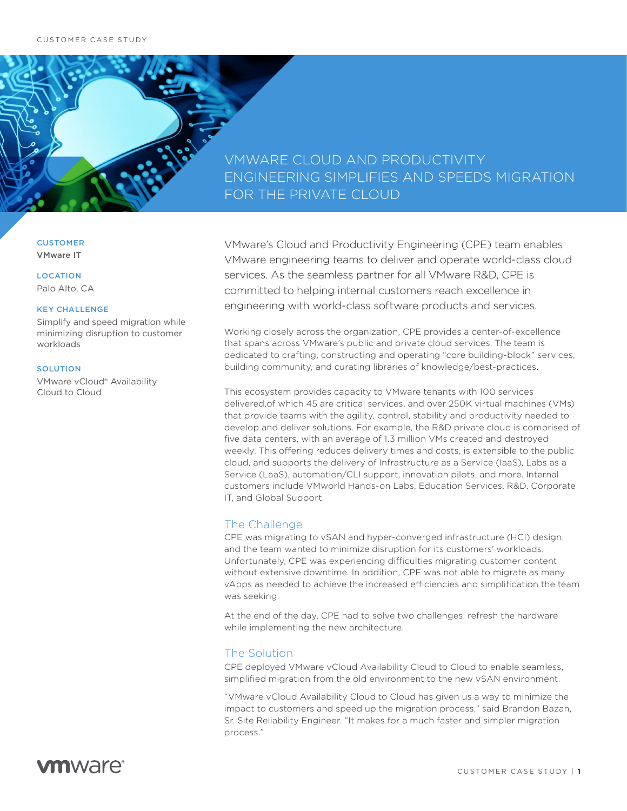## VMWARE CLOUD AND PRODUCTIVITY ENGINEERING SIMPLIFIES AND SPEEDS MIGRATION FOR THE PRIVATE CLOUD

**CUSTOMER** VMware IT

#### **LOCATION**

Palo Alto, CA

### KEY CHALLENGE

Simplify and speed migration while minimizing disruption to customer workloads

#### **SOLUTION**

VMware vCloud® Availability Cloud to Cloud

VMware's Cloud and Productivity Engineering (CPE) team enables VMware engineering teams to deliver and operate world-class cloud services. As the seamless partner for all VMware R&D, CPE is committed to helping internal customers reach excellence in engineering with world-class software products and services.

Working closely across the organization, CPE provides a center-of-excellence that spans across VMware's public and private cloud services. The team is dedicated to crafting, constructing and operating "core building-block" services, building community, and curating libraries of knowledge/best-practices.

This ecosystem provides capacity to VMware tenants with 100 services delivered,of which 45 are critical services, and over 250K virtual machines (VMs) that provide teams with the agility, control, stability and productivity needed to develop and deliver solutions. For example, the R&D private cloud is comprised of five data centers, with an average of 1.3 million VMs created and destroyed weekly. This offering reduces delivery times and costs, is extensible to the public cloud, and supports the delivery of Infrastructure as a Service (IaaS), Labs as a Service (LaaS), automation/CLI support, innovation pilots, and more. Internal customers include VMworld Hands-on Labs, Education Services, R&D, Corporate IT, and Global Support.

### The Challenge

CPE was migrating to vSAN and hyper-converged infrastructure (HCI) design, and the team wanted to minimize disruption for its customers' workloads. Unfortunately, CPE was experiencing difficulties migrating customer content without extensive downtime. In addition, CPE was not able to migrate as many vApps as needed to achieve the increased efficiencies and simplification the team was seeking.

At the end of the day, CPE had to solve two challenges: refresh the hardware while implementing the new architecture.

## The Solution

CPE deployed VMware vCloud Availability Cloud to Cloud to enable seamless, simplified migration from the old environment to the new vSAN environment.

"VMware vCloud Availability Cloud to Cloud has given us a way to minimize the impact to customers and speed up the migration process," said Brandon Bazan, Sr. Site Reliability Engineer. "It makes for a much faster and simpler migration process."

## **vm**ware<sup>®</sup>